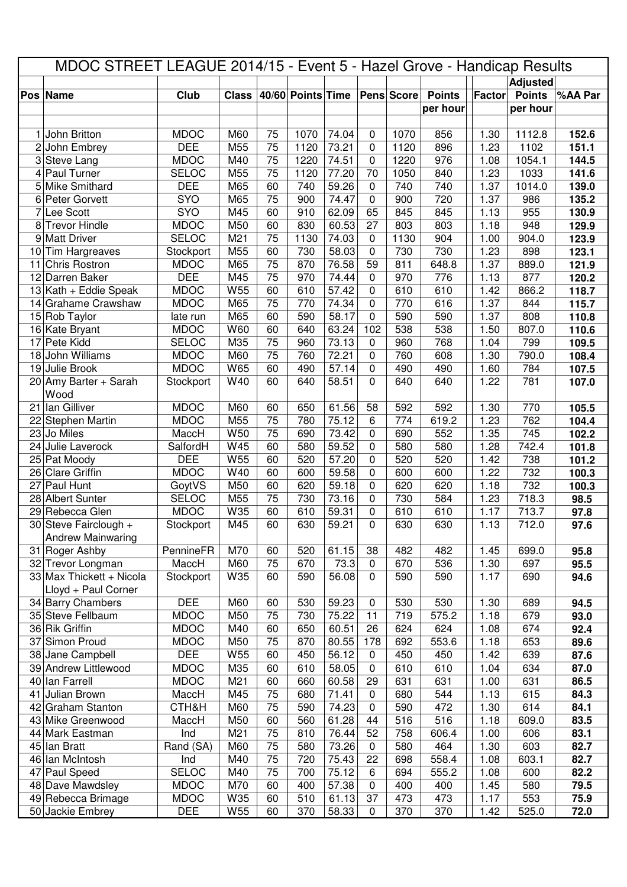| MDOC STREET LEAGUE 2014/15 - Event 5 - Hazel Grove - Handicap Results |                                          |                        |                 |          |                   |                |             |            |               |              |                 |              |
|-----------------------------------------------------------------------|------------------------------------------|------------------------|-----------------|----------|-------------------|----------------|-------------|------------|---------------|--------------|-----------------|--------------|
|                                                                       |                                          |                        |                 |          |                   |                |             |            |               |              | <b>Adjusted</b> |              |
|                                                                       | Pos Name                                 | Club                   | <b>Class</b>    |          | 40/60 Points Time |                |             | Pens Score | <b>Points</b> | Factor       | <b>Points</b>   | %AA Par      |
|                                                                       |                                          |                        |                 |          |                   |                |             |            | per hour      |              | per hour        |              |
|                                                                       |                                          |                        |                 |          |                   |                |             |            |               |              |                 |              |
| 1                                                                     | John Britton                             | <b>MDOC</b>            | M60             | 75       | 1070              | 74.04          | 0           | 1070       | 856           | 1.30         | 1112.8          | 152.6        |
| 2                                                                     | John Embrey                              | <b>DEE</b>             | M55             | 75       | 1120              | 73.21          | 0           | 1120       | 896           | 1.23         | 1102            | 151.1        |
| 3                                                                     | Steve Lang                               | <b>MDOC</b>            | M40             | 75       | 1220              | 74.51          | 0           | 1220       | 976           | 1.08         | 1054.1          | 144.5        |
| 4                                                                     | Paul Turner                              | <b>SELOC</b>           | M55             | 75       | 1120              | 77.20          | 70          | 1050       | 840           | 1.23         | 1033            | 141.6        |
| 5                                                                     | Mike Smithard                            | <b>DEE</b>             | M65             | 60       | 740               | 59.26          | 0           | 740        | 740           | 1.37         | 1014.0          | 139.0        |
| 6                                                                     | Peter Gorvett                            | SYO                    | M65             | 75       | 900               | 74.47          | 0           | 900        | 720           | 1.37         | 986             | 135.2        |
| 7                                                                     | Lee Scott                                | SYO                    | M45             | 60       | 910               | 62.09          | 65          | 845        | 845           | 1.13         | 955             | 130.9        |
| 8                                                                     | <b>Trevor Hindle</b>                     | <b>MDOC</b>            | M50             | 60       | 830               | 60.53          | 27          | 803        | 803           | 1.18         | 948             | 129.9        |
|                                                                       | 9 Matt Driver                            | <b>SELOC</b>           | M <sub>21</sub> | 75       | 1130              | 74.03          | 0           | 1130       | 904           | 1.00         | 904.0           | 123.9        |
|                                                                       | 10 Tim Hargreaves                        | Stockport              | M55             | 60       | 730               | 58.03          | $\mathbf 0$ | 730        | 730           | 1.23         | 898             | 123.1        |
| 11                                                                    | <b>Chris Rostron</b>                     | <b>MDOC</b>            | M65             | 75       | 870               | 76.58          | 59          | 811        | 648.8         | 1.37         | 889.0           | 121.9        |
|                                                                       | 12 Darren Baker                          | <b>DEE</b>             | M45             | 75       | 970               | 74.44          | 0           | 970        | 776           | 1.13         | 877             | 120.2        |
|                                                                       | $13$ Kath + Eddie Speak                  | <b>MDOC</b>            | W55             | 60       | 610               | 57.42          | 0           | 610        | 610           | 1.42         | 866.2           | 118.7        |
|                                                                       | 14 Grahame Crawshaw                      | <b>MDOC</b>            | M65             | 75       | 770               | 74.34          | $\mathbf 0$ | 770        | 616           | 1.37         | 844             | 115.7        |
|                                                                       | 15 Rob Taylor                            | late run               | M65             | 60       | 590               | 58.17          | $\mathbf 0$ | 590        | 590           | 1.37         | 808             | 110.8        |
|                                                                       | 16 Kate Bryant                           | <b>MDOC</b>            | W60             | 60       | 640               | 63.24          | 102         | 538        | 538           | 1.50         | 807.0           | 110.6        |
| 17                                                                    | Pete Kidd                                | <b>SELOC</b>           | M35             | 75       | 960               | 73.13          | 0           | 960        | 768           | 1.04         | 799             | 109.5        |
| 18                                                                    | John Williams                            | <b>MDOC</b>            | M60             | 75       | 760               | 72.21          | 0           | 760        | 608           | 1.30         | 790.0           | 108.4        |
|                                                                       | 19 Julie Brook                           | <b>MDOC</b>            | W65             | 60       | 490               | 57.14          | 0           | 490        | 490           | 1.60         | 784             | 107.5        |
|                                                                       | 20 Amy Barter + Sarah                    | Stockport              | W40             | 60       | 640               | 58.51          | 0           | 640        | 640           | 1.22         | 781             | 107.0        |
|                                                                       | Wood                                     |                        |                 |          |                   |                |             |            |               |              |                 |              |
| 21                                                                    | lan Gilliver                             | <b>MDOC</b>            | M60             | 60       | 650               | 61.56          | 58          | 592        | 592           | 1.30         | 770             | 105.5        |
|                                                                       | 22 Stephen Martin                        | <b>MDOC</b>            | M55             | 75       | 780               | 75.12          | 6           | 774        | 619.2         | 1.23         | 762             | 104.4        |
| 23                                                                    | Jo Miles                                 | MaccH                  | W50<br>W45      | 75       | 690               | 73.42          | 0           | 690        | 552           | 1.35         | 745             | 102.2        |
| 24                                                                    | Julie Laverock                           | SalfordH<br><b>DEE</b> | W55             | 60<br>60 | 580<br>520        | 59.52<br>57.20 | 0           | 580<br>520 | 580<br>520    | 1.28         | 742.4           | 101.8        |
|                                                                       | 25 Pat Moody                             | <b>MDOC</b>            | W40             | 60       | 600               | 59.58          | 0           |            |               | 1.42<br>1.22 | 738<br>732      | 101.2        |
|                                                                       | 26 Clare Griffin<br>27 Paul Hunt         |                        | M50             | 60       |                   | 59.18          | 0           | 600        | 600           |              | 732             | 100.3        |
|                                                                       | 28 Albert Sunter                         | GoytVS<br><b>SELOC</b> | M55             | 75       | 620<br>730        | 73.16          | 0<br>0      | 620<br>730 | 620<br>584    | 1.18<br>1.23 | 718.3           | 100.3        |
|                                                                       |                                          | <b>MDOC</b>            | W35             | 60       | 610               | 59.31          | 0           | 610        | 610           | 1.17         | 713.7           | 98.5         |
|                                                                       | 29 Rebecca Glen<br>30 Steve Fairclough + |                        | M45             | 60       | 630               | 59.21          | 0           | 630        | 630           | 1.13         | 712.0           | 97.8<br>97.6 |
|                                                                       | <b>Andrew Mainwaring</b>                 | Stockport              |                 |          |                   |                |             |            |               |              |                 |              |
|                                                                       | 31 Roger Ashby                           | PennineFR              | M70             | 60       | 520               | 61.15          | 38          | 482        | 482           | 1.45         | 699.0           | 95.8         |
| 32                                                                    | Trevor Longman                           | MaccH                  | M60             | 75       | 670               | 73.3           | $\mathbf 0$ | 670        | 536           | 1.30         | 697             | 95.5         |
|                                                                       | 33 Max Thickett + Nicola                 | Stockport              | W35             | 60       | 590               | 56.08          | 0           | 590        | 590           | 1.17         | 690             | 94.6         |
|                                                                       | Lloyd + Paul Corner                      |                        |                 |          |                   |                |             |            |               |              |                 |              |
|                                                                       | 34 Barry Chambers                        | <b>DEE</b>             | M60             | 60       | 530               | 59.23          | $\mathbf 0$ | 530        | 530           | 1.30         | 689             | 94.5         |
|                                                                       | 35 Steve Fellbaum                        | <b>MDOC</b>            | M50             | 75       | 730               | 75.22          | 11          | 719        | 575.2         | 1.18         | 679             | 93.0         |
|                                                                       | 36 Rik Griffin                           | <b>MDOC</b>            | M40             | 60       | 650               | 60.51          | 26          | 624        | 624           | 1.08         | 674             | 92.4         |
|                                                                       | 37 Simon Proud                           | <b>MDOC</b>            | M50             | 75       | 870               | 80.55          | 178         | 692        | 553.6         | 1.18         | 653             | 89.6         |
|                                                                       | 38 Jane Campbell                         | <b>DEE</b>             | W55             | 60       | 450               | 56.12          | $\mathbf 0$ | 450        | 450           | 1.42         | 639             | 87.6         |
|                                                                       | 39 Andrew Littlewood                     | <b>MDOC</b>            | M35             | 60       | 610               | 58.05          | $\pmb{0}$   | 610        | 610           | 1.04         | 634             | 87.0         |
|                                                                       | 40 Ian Farrell                           | <b>MDOC</b>            | M21             | 60       | 660               | 60.58          | 29          | 631        | 631           | 1.00         | 631             | 86.5         |
|                                                                       | 41 Julian Brown                          | MaccH                  | M45             | 75       | 680               | 71.41          | 0           | 680        | 544           | 1.13         | 615             | 84.3         |
|                                                                       | 42 Graham Stanton                        | CTH&H                  | M60             | 75       | 590               | 74.23          | 0           | 590        | 472           | 1.30         | 614             | 84.1         |
|                                                                       | 43 Mike Greenwood                        | MaccH                  | M50             | 60       | 560               | 61.28          | 44          | 516        | 516           | 1.18         | 609.0           | 83.5         |
| 44                                                                    | Mark Eastman                             | Ind                    | M21             | 75       | 810               | 76.44          | 52          | 758        | 606.4         | 1.00         | 606             | 83.1         |
|                                                                       | 45 Ian Bratt                             | Rand (SA)              | M60             | 75       | 580               | 73.26          | 0           | 580        | 464           | 1.30         | 603             | 82.7         |
| 46                                                                    | lan McIntosh                             | Ind                    | M40             | 75       | 720               | 75.43          | 22          | 698        | 558.4         | 1.08         | 603.1           | 82.7         |
|                                                                       | 47 Paul Speed                            | <b>SELOC</b>           | M40             | 75       | 700               | 75.12          | 6           | 694        | 555.2         | 1.08         | 600             | 82.2         |
|                                                                       | 48 Dave Mawdsley                         | <b>MDOC</b>            | M70             | 60       | 400               | 57.38          | 0           | 400        | 400           | 1.45         | 580             | 79.5         |
|                                                                       | 49 Rebecca Brimage                       | <b>MDOC</b>            | W35             | 60       | 510               | 61.13          | 37          | 473        | 473           | 1.17         | 553             | 75.9         |
|                                                                       | 50 Jackie Embrey                         | <b>DEE</b>             | W55             | 60       | 370               | 58.33          | 0           | 370        | 370           | 1.42         | 525.0           | 72.0         |
|                                                                       |                                          |                        |                 |          |                   |                |             |            |               |              |                 |              |